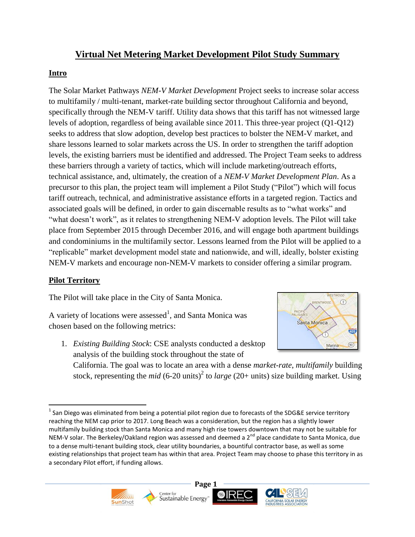# **Virtual Net Metering Market Development Pilot Study Summary**

### **Intro**

The Solar Market Pathways *NEM-V Market Development* Project seeks to increase solar access to multifamily / multi-tenant, market-rate building sector throughout California and beyond, specifically through the NEM-V tariff. Utility data shows that this tariff has not witnessed large levels of adoption, regardless of being available since 2011. This three-year project (Q1-Q12) seeks to address that slow adoption, develop best practices to bolster the NEM-V market, and share lessons learned to solar markets across the US. In order to strengthen the tariff adoption levels, the existing barriers must be identified and addressed. The Project Team seeks to address these barriers through a variety of tactics, which will include marketing/outreach efforts, technical assistance, and, ultimately, the creation of a *NEM-V Market Development Plan*. As a precursor to this plan, the project team will implement a Pilot Study ("Pilot") which will focus tariff outreach, technical, and administrative assistance efforts in a targeted region. Tactics and associated goals will be defined, in order to gain discernable results as to "what works" and "what doesn't work", as it relates to strengthening NEM-V adoption levels. The Pilot will take place from September 2015 through December 2016, and will engage both apartment buildings and condominiums in the multifamily sector. Lessons learned from the Pilot will be applied to a "replicable" market development model state and nationwide, and will, ideally, bolster existing NEM-V markets and encourage non-NEM-V markets to consider offering a similar program.

## **Pilot Territory**

The Pilot will take place in the City of Santa Monica.

A variety of locations were assessed<sup>1</sup>, and Santa Monica was chosen based on the following metrics:

1. *Existing Building Stock*: CSE analysts conducted a desktop analysis of the building stock throughout the state of



California. The goal was to locate an area with a dense *market-rate*, *multifamily* building stock, representing the *mid* (6-20 units)<sup>2</sup> to *large* (20+ units) size building market. Using

l  $^1$  San Diego was eliminated from being a potential pilot region due to forecasts of the SDG&E service territory reaching the NEM cap prior to 2017. Long Beach was a consideration, but the region has a slightly lower multifamily building stock than Santa Monica and many high rise towers downtown that may not be suitable for NEM-V solar. The Berkeley/Oakland region was assessed and deemed a 2<sup>nd</sup> place candidate to Santa Monica, due to a dense multi-tenant building stock, clear utility boundaries, a bountiful contractor base, as well as some existing relationships that project team has within that area. Project Team may choose to phase this territory in as a secondary Pilot effort, if funding allows.





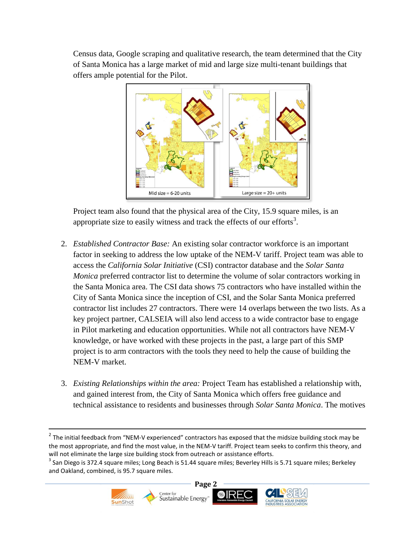Census data, Google scraping and qualitative research, the team determined that the City of Santa Monica has a large market of mid and large size multi-tenant buildings that offers ample potential for the Pilot.



Project team also found that the physical area of the City, 15.9 square miles, is an appropriate size to easily witness and track the effects of our efforts<sup>3</sup>.

- 2. *Established Contractor Base:* An existing solar contractor workforce is an important factor in seeking to address the low uptake of the NEM-V tariff. Project team was able to access the *California Solar Initiative* (CSI) contractor database and the *Solar Santa Monica* preferred contractor list to determine the volume of solar contractors working in the Santa Monica area. The CSI data shows 75 contractors who have installed within the City of Santa Monica since the inception of CSI, and the Solar Santa Monica preferred contractor list includes 27 contractors. There were 14 overlaps between the two lists. As a key project partner, CALSEIA will also lend access to a wide contractor base to engage in Pilot marketing and education opportunities. While not all contractors have NEM-V knowledge, or have worked with these projects in the past, a large part of this SMP project is to arm contractors with the tools they need to help the cause of building the NEM-V market.
- 3. *Existing Relationships within the area:* Project Team has established a relationship with, and gained interest from, the City of Santa Monica which offers free guidance and technical assistance to residents and businesses through *Solar Santa Monica*. The motives

 $\overline{\phantom{a}}$ 

 $^3$  San Diego is 372.4 square miles; Long Beach is 51.44 square miles; Beverley Hills is 5.71 square miles; Berkeley and Oakland, combined, is 95.7 square miles.



 $^2$  The initial feedback from "NEM-V experienced" contractors has exposed that the midsize building stock may be the most appropriate, and find the most value, in the NEM-V tariff. Project team seeks to confirm this theory, and will not eliminate the large size building stock from outreach or assistance efforts.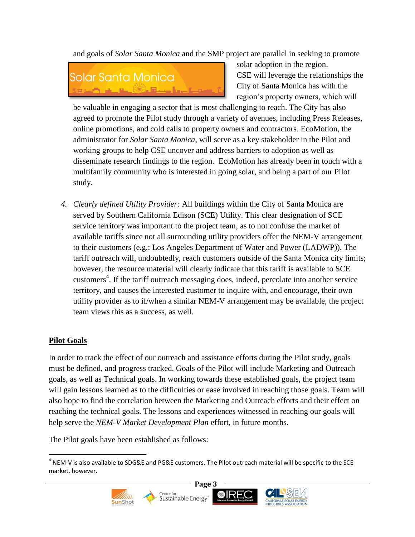and goals of *Solar Santa Monica* and the SMP project are parallel in seeking to promote



solar adoption in the region. CSE will leverage the relationships the City of Santa Monica has with the region's property owners, which will

be valuable in engaging a sector that is most challenging to reach. The City has also agreed to promote the Pilot study through a variety of avenues, including Press Releases, online promotions, and cold calls to property owners and contractors. EcoMotion, the administrator for *Solar Santa Monica*, will serve as a key stakeholder in the Pilot and working groups to help CSE uncover and address barriers to adoption as well as disseminate research findings to the region. EcoMotion has already been in touch with a multifamily community who is interested in going solar, and being a part of our Pilot study.

*4. Clearly defined Utility Provider:* All buildings within the City of Santa Monica are served by Southern California Edison (SCE) Utility. This clear designation of SCE service territory was important to the project team, as to not confuse the market of available tariffs since not all surrounding utility providers offer the NEM-V arrangement to their customers (e.g.: Los Angeles Department of Water and Power (LADWP)). The tariff outreach will, undoubtedly, reach customers outside of the Santa Monica city limits; however, the resource material will clearly indicate that this tariff is available to SCE customers<sup>4</sup>. If the tariff outreach messaging does, indeed, percolate into another service territory, and causes the interested customer to inquire with, and encourage, their own utility provider as to if/when a similar NEM-V arrangement may be available, the project team views this as a success, as well.

#### **Pilot Goals**

In order to track the effect of our outreach and assistance efforts during the Pilot study, goals must be defined, and progress tracked. Goals of the Pilot will include Marketing and Outreach goals, as well as Technical goals. In working towards these established goals, the project team will gain lessons learned as to the difficulties or ease involved in reaching those goals. Team will also hope to find the correlation between the Marketing and Outreach efforts and their effect on reaching the technical goals. The lessons and experiences witnessed in reaching our goals will help serve the *NEM-V Market Development Plan* effort, in future months.

The Pilot goals have been established as follows:

 $\overline{\phantom{a}}$  $^4$  NEM-V is also available to SDG&E and PG&E customers. The Pilot outreach material will be specific to the SCE market, however.



Center for<br>Sustainable Energy



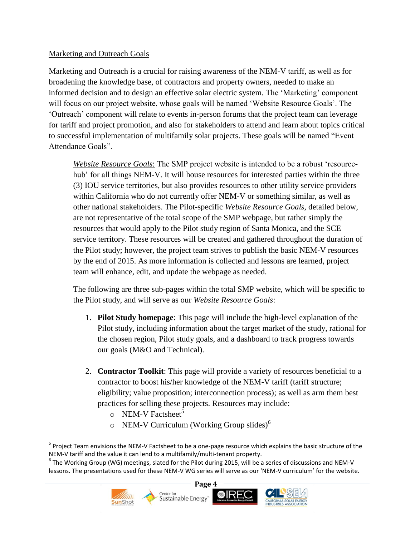#### Marketing and Outreach Goals

Marketing and Outreach is a crucial for raising awareness of the NEM-V tariff, as well as for broadening the knowledge base, of contractors and property owners, needed to make an informed decision and to design an effective solar electric system. The 'Marketing' component will focus on our project website, whose goals will be named 'Website Resource Goals'. The 'Outreach' component will relate to events in-person forums that the project team can leverage for tariff and project promotion, and also for stakeholders to attend and learn about topics critical to successful implementation of multifamily solar projects. These goals will be named "Event Attendance Goals".

*Website Resource Goals*: The SMP project website is intended to be a robust 'resourcehub' for all things NEM-V. It will house resources for interested parties within the three (3) IOU service territories, but also provides resources to other utility service providers within California who do not currently offer NEM-V or something similar, as well as other national stakeholders. The Pilot-specific *Website Resource Goals,* detailed below, are not representative of the total scope of the SMP webpage, but rather simply the resources that would apply to the Pilot study region of Santa Monica, and the SCE service territory. These resources will be created and gathered throughout the duration of the Pilot study; however, the project team strives to publish the basic NEM-V resources by the end of 2015. As more information is collected and lessons are learned, project team will enhance, edit, and update the webpage as needed.

The following are three sub-pages within the total SMP website, which will be specific to the Pilot study, and will serve as our *Website Resource Goals*:

- 1. **Pilot Study homepage**: This page will include the high-level explanation of the Pilot study, including information about the target market of the study, rational for the chosen region, Pilot study goals, and a dashboard to track progress towards our goals (M&O and Technical).
- 2. **Contractor Toolkit**: This page will provide a variety of resources beneficial to a contractor to boost his/her knowledge of the NEM-V tariff (tariff structure; eligibility; value proposition; interconnection process); as well as arm them best practices for selling these projects. Resources may include:
	- o NEM-V Factsheet<sup>5</sup>
	- $\circ$  NEM-V Curriculum (Working Group slides)<sup>6</sup>

 $^6$  The Working Group (WG) meetings, slated for the Pilot during 2015, will be a series of discussions and NEM-V lessons. The presentations used for these NEM-V WG series will serve as our 'NEM-V curriculum' for the website.



 $\overline{\phantom{a}}$ 





<sup>&</sup>lt;sup>5</sup> Project Team envisions the NEM-V Factsheet to be a one-page resource which explains the basic structure of the NEM-V tariff and the value it can lend to a multifamily/multi-tenant property.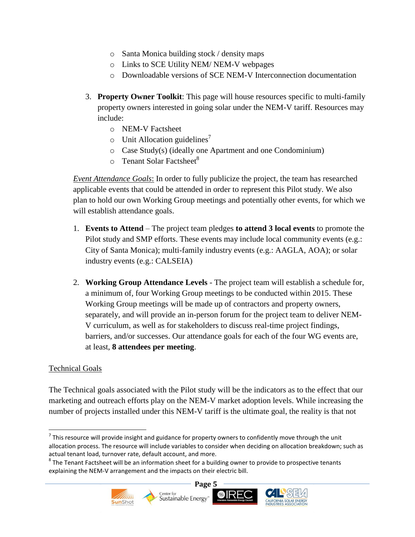- o Santa Monica building stock / density maps
- o Links to SCE Utility NEM/ NEM-V webpages
- o Downloadable versions of SCE NEM-V Interconnection documentation
- 3. **Property Owner Toolkit**: This page will house resources specific to multi-family property owners interested in going solar under the NEM-V tariff. Resources may include:
	- o NEM-V Factsheet
	- $\circ$  Unit Allocation guidelines<sup>7</sup>
	- o Case Study(s) (ideally one Apartment and one Condominium)
	- $\circ$  Tenant Solar Factsheet<sup>8</sup>

*Event Attendance Goals*: In order to fully publicize the project, the team has researched applicable events that could be attended in order to represent this Pilot study. We also plan to hold our own Working Group meetings and potentially other events, for which we will establish attendance goals.

- 1. **Events to Attend** The project team pledges **to attend 3 local events** to promote the Pilot study and SMP efforts. These events may include local community events (e.g.: City of Santa Monica); multi-family industry events (e.g.: AAGLA, AOA); or solar industry events (e.g.: CALSEIA)
- 2. **Working Group Attendance Levels**  The project team will establish a schedule for, a minimum of, four Working Group meetings to be conducted within 2015. These Working Group meetings will be made up of contractors and property owners, separately, and will provide an in-person forum for the project team to deliver NEM-V curriculum, as well as for stakeholders to discuss real-time project findings, barriers, and/or successes. Our attendance goals for each of the four WG events are, at least, **8 attendees per meeting**.

#### Technical Goals

 $\overline{\phantom{a}}$ 

The Technical goals associated with the Pilot study will be the indicators as to the effect that our marketing and outreach efforts play on the NEM-V market adoption levels. While increasing the number of projects installed under this NEM-V tariff is the ultimate goal, the reality is that not

 $^8$  The Tenant Factsheet will be an information sheet for a building owner to provide to prospective tenants explaining the NEM-V arrangement and the impacts on their electric bill.



 $^7$  This resource will provide insight and guidance for property owners to confidently move through the unit allocation process. The resource will include variables to consider when deciding on allocation breakdown; such as actual tenant load, turnover rate, default account, and more.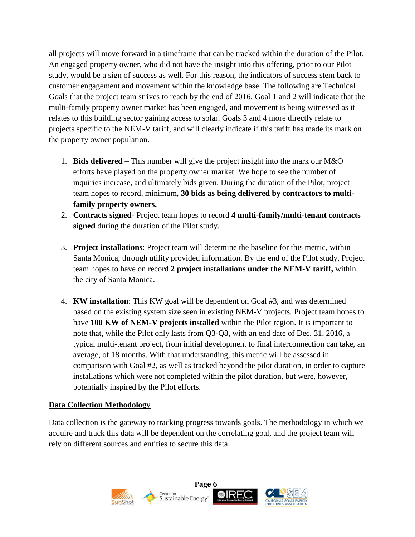all projects will move forward in a timeframe that can be tracked within the duration of the Pilot. An engaged property owner, who did not have the insight into this offering, prior to our Pilot study, would be a sign of success as well. For this reason, the indicators of success stem back to customer engagement and movement within the knowledge base. The following are Technical Goals that the project team strives to reach by the end of 2016. Goal 1 and 2 will indicate that the multi-family property owner market has been engaged, and movement is being witnessed as it relates to this building sector gaining access to solar. Goals 3 and 4 more directly relate to projects specific to the NEM-V tariff, and will clearly indicate if this tariff has made its mark on the property owner population.

- 1. **Bids delivered** This number will give the project insight into the mark our M&O efforts have played on the property owner market. We hope to see the number of inquiries increase, and ultimately bids given. During the duration of the Pilot, project team hopes to record, minimum, **30 bids as being delivered by contractors to multifamily property owners.**
- 2. **Contracts signed** Project team hopes to record **4 multi-family/multi-tenant contracts signed** during the duration of the Pilot study.
- 3. **Project installations**: Project team will determine the baseline for this metric, within Santa Monica, through utility provided information. By the end of the Pilot study, Project team hopes to have on record **2 project installations under the NEM-V tariff,** within the city of Santa Monica.
- 4. **KW installation**: This KW goal will be dependent on Goal #3, and was determined based on the existing system size seen in existing NEM-V projects. Project team hopes to have **100 KW of NEM-V projects installed** within the Pilot region. It is important to note that, while the Pilot only lasts from Q3-Q8, with an end date of Dec. 31, 2016, a typical multi-tenant project, from initial development to final interconnection can take, an average, of 18 months. With that understanding, this metric will be assessed in comparison with Goal #2, as well as tracked beyond the pilot duration, in order to capture installations which were not completed within the pilot duration, but were, however, potentially inspired by the Pilot efforts.

#### **Data Collection Methodology**

Data collection is the gateway to tracking progress towards goals. The methodology in which we acquire and track this data will be dependent on the correlating goal, and the project team will rely on different sources and entities to secure this data.

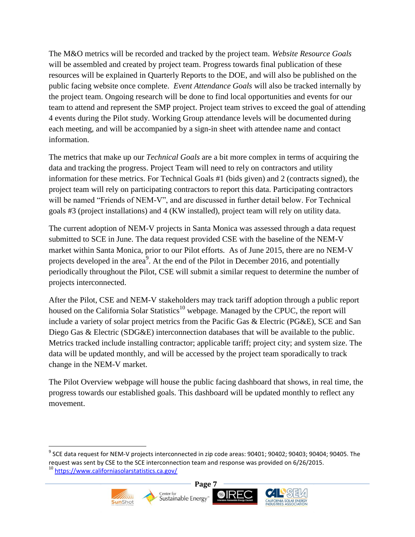The M&O metrics will be recorded and tracked by the project team. *Website Resource Goals* will be assembled and created by project team. Progress towards final publication of these resources will be explained in Quarterly Reports to the DOE, and will also be published on the public facing website once complete. *Event Attendance Goals* will also be tracked internally by the project team. Ongoing research will be done to find local opportunities and events for our team to attend and represent the SMP project. Project team strives to exceed the goal of attending 4 events during the Pilot study. Working Group attendance levels will be documented during each meeting, and will be accompanied by a sign-in sheet with attendee name and contact information.

The metrics that make up our *Technical Goals* are a bit more complex in terms of acquiring the data and tracking the progress. Project Team will need to rely on contractors and utility information for these metrics. For Technical Goals #1 (bids given) and 2 (contracts signed), the project team will rely on participating contractors to report this data. Participating contractors will be named "Friends of NEM-V", and are discussed in further detail below. For Technical goals #3 (project installations) and 4 (KW installed), project team will rely on utility data.

The current adoption of NEM-V projects in Santa Monica was assessed through a data request submitted to SCE in June. The data request provided CSE with the baseline of the NEM-V market within Santa Monica, prior to our Pilot efforts. As of June 2015, there are no NEM-V projects developed in the area<sup>9</sup>. At the end of the Pilot in December 2016, and potentially periodically throughout the Pilot, CSE will submit a similar request to determine the number of projects interconnected.

After the Pilot, CSE and NEM-V stakeholders may track tariff adoption through a public report housed on the California Solar Statistics<sup>10</sup> webpage. Managed by the CPUC, the report will include a variety of solar project metrics from the Pacific Gas & Electric (PG&E), SCE and San Diego Gas & Electric (SDG&E) interconnection databases that will be available to the public. Metrics tracked include installing contractor; applicable tariff; project city; and system size. The data will be updated monthly, and will be accessed by the project team sporadically to track change in the NEM-V market.

The Pilot Overview webpage will house the public facing dashboard that shows, in real time, the progress towards our established goals. This dashboard will be updated monthly to reflect any movement.

 $^9$  SCE data request for NEM-V projects interconnected in zip code areas: 90401; 90402; 90403; 90404; 90405. The request was sent by CSE to the SCE interconnection team and response was provided on 6/26/2015. <sup>10</sup> <https://www.californiasolarstatistics.ca.gov/>



 $\overline{a}$